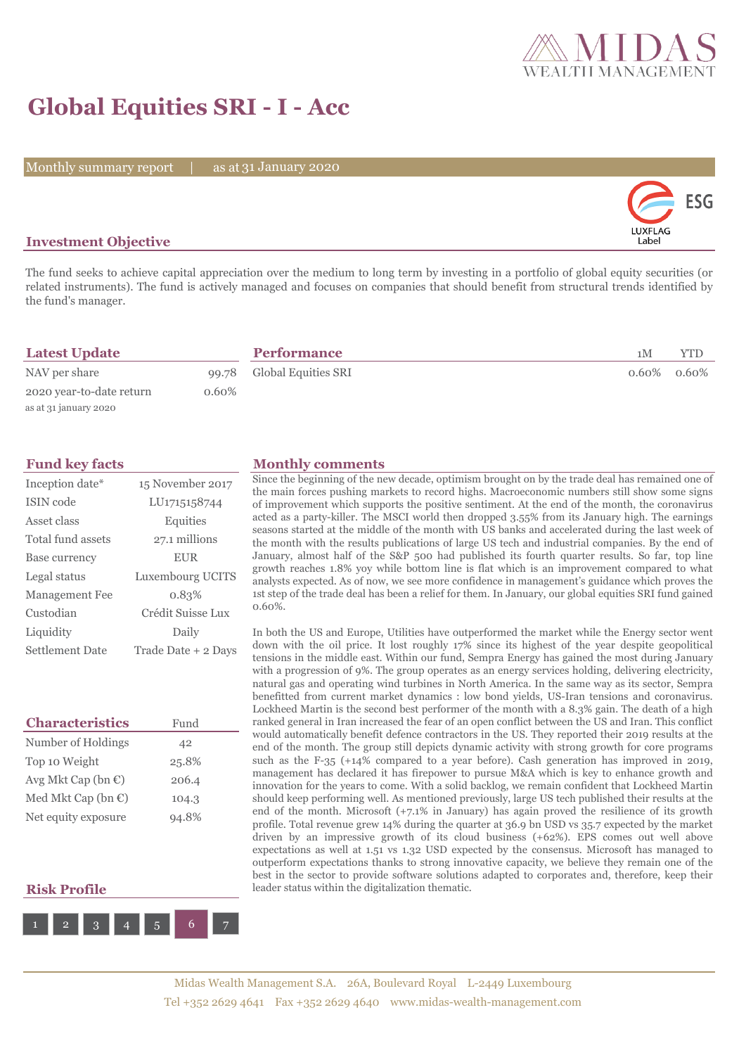

## **Global Equities SRI - I - Acc**

Monthly summary report | as at 31 January 2020



### **Investment Objective**

The fund seeks to achieve capital appreciation over the medium to long term by investing in a portfolio of global equity securities (or related instruments). The fund is actively managed and focuses on companies that should benefit from structural trends identified by the fund's manager.

| <b>Latest Update</b>     |          | <b>Performance</b>        | 1 M | YTD            |
|--------------------------|----------|---------------------------|-----|----------------|
| NAV per share            |          | 99.78 Global Equities SRI |     | $0.60\%$ 0.60% |
| 2020 year-to-date return | $0.60\%$ |                           |     |                |
| as at 31 january 2020    |          |                           |     |                |

| Inception date*   | 15 November 2017    |
|-------------------|---------------------|
| ISIN code         | LU1715158744        |
| Asset class       | Equities            |
| Total fund assets | 27.1 millions       |
| Base currency     | <b>EUR</b>          |
| Legal status      | Luxembourg UCITS    |
| Management Fee    | 0.83%               |
| Custodian         | Crédit Suisse Lux   |
| Liquidity         | Daily               |
| Settlement Date   | Trade Date + 2 Days |

| <b>Characteristics</b>         | Fund  |
|--------------------------------|-------|
| Number of Holdings             | 42    |
| Top 10 Weight                  | 25.8% |
| Avg Mkt Cap (bn $\mathbb{C}$ ) | 206.4 |
| Med Mkt Cap (bn $\mathbb{C}$ ) | 104.3 |
| Net equity exposure            | 94.8% |

#### **Risk Profile**



#### **Fund key facts Monthly comments**

Since the beginning of the new decade, optimism brought on by the trade deal has remained one of the main forces pushing markets to record highs. Macroeconomic numbers still show some signs of improvement which supports the positive sentiment. At the end of the month, the coronavirus acted as a party-killer. The MSCI world then dropped 3.55% from its January high. The earnings seasons started at the middle of the month with US banks and accelerated during the last week of the month with the results publications of large US tech and industrial companies. By the end of January, almost half of the S&P 500 had published its fourth quarter results. So far, top line growth reaches 1.8% yoy while bottom line is flat which is an improvement compared to what analysts expected. As of now, we see more confidence in management's guidance which proves the 1st step of the trade deal has been a relief for them. In January, our global equities SRI fund gained 0.60%.

In both the US and Europe, Utilities have outperformed the market while the Energy sector went down with the oil price. It lost roughly 17% since its highest of the year despite geopolitical tensions in the middle east. Within our fund, Sempra Energy has gained the most during January with a progression of 9%. The group operates as an energy services holding, delivering electricity, natural gas and operating wind turbines in North America. In the same way as its sector, Sempra benefitted from current market dynamics : low bond yields, US-Iran tensions and coronavirus. Lockheed Martin is the second best performer of the month with a 8.3% gain. The death of a high ranked general in Iran increased the fear of an open conflict between the US and Iran. This conflict would automatically benefit defence contractors in the US. They reported their 2019 results at the end of the month. The group still depicts dynamic activity with strong growth for core programs such as the F-35 (+14% compared to a year before). Cash generation has improved in 2019, management has declared it has firepower to pursue M&A which is key to enhance growth and innovation for the years to come. With a solid backlog, we remain confident that Lockheed Martin should keep performing well. As mentioned previously, large US tech published their results at the end of the month. Microsoft (+7.1% in January) has again proved the resilience of its growth profile. Total revenue grew 14% during the quarter at 36.9 bn USD vs 35.7 expected by the market driven by an impressive growth of its cloud business (+62%). EPS comes out well above expectations as well at 1.51 vs 1.32 USD expected by the consensus. Microsoft has managed to outperform expectations thanks to strong innovative capacity, we believe they remain one of the best in the sector to provide software solutions adapted to corporates and, therefore, keep their leader status within the digitalization thematic.